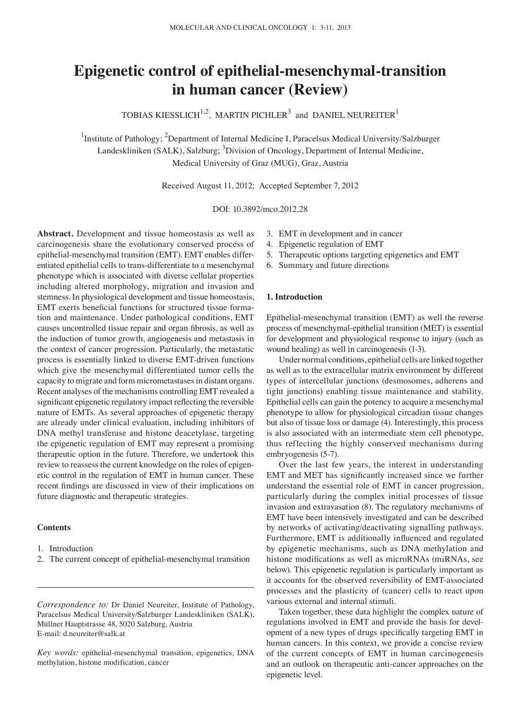# **Epigenetic control of epithelial-mesenchymal-transition in human cancer (Review)**

TOBIAS KIESSLICH $^{1,2}$ , MARTIN PICHLER<sup>3</sup> and DANIEL NEUREITER<sup>1</sup>

<sup>1</sup>Institute of Pathology; <sup>2</sup>Department of Internal Medicine I, Paracelsus Medical University/Salzburger Landeskliniken (SALK), Salzburg; <sup>3</sup>Division of Oncology, Department of Internal Medicine, Medical University of Graz (MUG), Graz, Austria

Received August 11, 2012; Accepted September 7, 2012

DOI: 10.3892/mco.2012.28

**Abstract.** Development and tissue homeostasis as well as carcinogenesis share the evolutionary conserved process of epithelial-mesenchymal transition (EMT). EMT enables differentiated epithelial cells to trans-differentiate to a mesenchymal phenotype which is associated with diverse cellular properties including altered morphology, migration and invasion and stemness. In physiological development and tissue homeostasis, EMT exerts beneficial functions for structured tissue formation and maintenance. Under pathological conditions, EMT causes uncontrolled tissue repair and organ fibrosis, as well as the induction of tumor growth, angiogenesis and metastasis in the context of cancer progression. Particularly, the metastatic process is essentially linked to diverse EMT-driven functions which give the mesenchymal differentiated tumor cells the capacity to migrate and form micrometastases in distant organs. Recent analyses of the mechanisms controlling EMT revealed a significant epigenetic regulatory impact reflecting the reversible nature of EMTs. As several approaches of epigenetic therapy are already under clinical evaluation, including inhibitors of DNA methyl transferase and histone deacetylase, targeting the epigenetic regulation of EMT may represent a promising therapeutic option in the future. Therefore, we undertook this review to reassess the current knowledge on the roles of epigenetic control in the regulation of EMT in human cancer. These recent findings are discussed in view of their implications on future diagnostic and therapeutic strategies.

# **Contents**

- 1. Introduction
- 2. The current concept of epithelial-mesenchymal transition

*Correspondence to:* Dr Daniel Neureiter, Institute of Pathology, Paracelsus Medical University/Salzburger Landeskliniken (SALK), Müllner Hauptstrasse 48, 5020 Salzburg, Austria E-mail: d.neureiter@salk.at

*Key words:* epithelial-mesenchymal transition, epigenetics, DNA methylation, histone modification, cancer

- 3. EMT in development and in cancer
- 4. Epigenetic regulation of EMT
- 5. Therapeutic options targeting epigenetics and EMT
- 6. Summary and future directions

## **1. Introduction**

Epithelial-mesenchymal transition (EMT) as well the reverse process of mesenchymal-epithelial transition (MET) is essential for development and physiological response to injury (such as wound healing) as well in carcinogenesis (1-3).

Under normal conditions, epithelial cells are linked together as well as to the extracellular matrix environment by different types of intercellular junctions (desmosomes, adherens and tight junctions) enabling tissue maintenance and stability. Epithelial cells can gain the potency to acquire a mesenchymal phenotype to allow for physiological circadian tissue changes but also of tissue loss or damage (4). Interestingly, this process is also associated with an intermediate stem cell phenotype, thus reflecting the highly conserved mechanisms during embryogenesis (5-7).

Over the last few years, the interest in understanding EMT and MET has significantly increased since we further understand the essential role of EMT in cancer progression, particularly during the complex initial processes of tissue invasion and extravasation (8). The regulatory mechanisms of EMT have been intensively investigated and can be described by networks of activating/deactivating signalling pathways. Furthermore, EMT is additionally influenced and regulated by epigenetic mechanisms, such as DNA methylation and histone modifications as well as microRNAs (miRNAs, see below). This epigenetic regulation is particularly important as it accounts for the observed reversibility of EMT-associated processes and the plasticity of (cancer) cells to react upon various external and internal stimuli.

Taken together, these data highlight the complex nature of regulations involved in EMT and provide the basis for development of a new types of drugs specifically targeting EMT in human cancers. In this context, we provide a concise review of the current concepts of EMT in human carcinogenesis and an outlook on therapeutic anti-cancer approaches on the epigenetic level.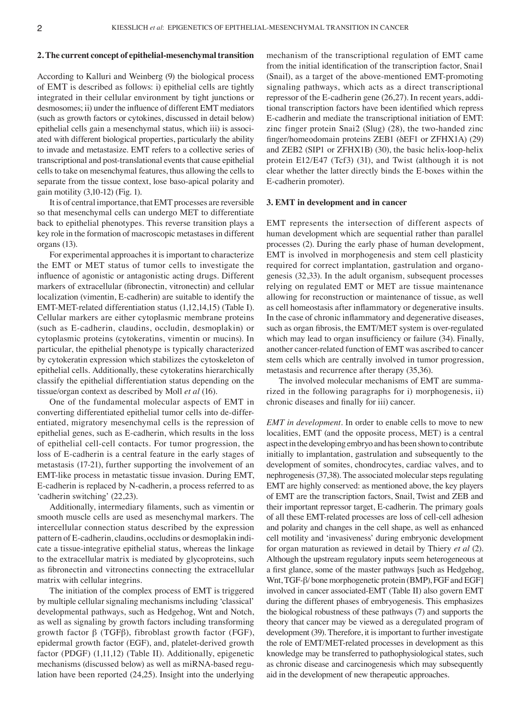## **2. The current concept of epithelial-mesenchymal transition**

According to Kalluri and Weinberg (9) the biological process of ΕΜΤ is described as follows: i) epithelial cells are tightly integrated in their cellular environment by tight junctions or desmosomes; ii) under the influence of different EMT mediators (such as growth factors or cytokines, discussed in detail below) epithelial cells gain a mesenchymal status, which iii) is associated with different biological properties, particularly the ability to invade and metastasize. EMT refers to a collective series of transcriptional and post-translational events that cause epithelial cells to take on mesenchymal features, thus allowing the cells to separate from the tissue context, lose baso-apical polarity and gain motility (3,10-12) (Fig. 1).

It is of central importance, that EMT processes are reversible so that mesenchymal cells can undergo MET to differentiate back to epithelial phenotypes. This reverse transition plays a key role in the formation of macroscopic metastases in different organs (13).

For experimental approaches it is important to characterize the EMT or MET status of tumor cells to investigate the influence of agonistic or antagonistic acting drugs. Different markers of extracellular (fibronectin, vitronectin) and cellular localization (vimentin, E-cadherin) are suitable to identify the EMT-MET-related differentiation status (1,12,14,15) (Table I). Cellular markers are either cytoplasmic membrane proteins (such as E-cadherin, claudins, occludin, desmoplakin) or cytoplasmic proteins (cytokeratins, vimentin or mucins). In particular, the epithelial phenotype is typically characterized by cytokeratin expression which stabilizes the cytoskeleton of epithelial cells. Additionally, these cytokeratins hierarchically classify the epithelial differentiation status depending on the tissue/organ context as described by Moll *et al* (16).

One of the fundamental molecular aspects of EMT in converting differentiated epithelial tumor cells into de-differentiated, migratory mesenchymal cells is the repression of epithelial genes, such as E-cadherin, which results in the loss of epithelial cell-cell contacts. For tumor progression, the loss of E-cadherin is a central feature in the early stages of metastasis (17-21), further supporting the involvement of an EMT-like process in metastatic tissue invasion. During EMT, E-cadherin is replaced by N-cadherin, a process referred to as 'cadherin switching' (22,23).

Additionally, intermediary filaments, such as vimentin or smooth muscle cells are used as mesenchymal markers. The intercellular connection status described by the expression pattern of E-cadherin, claudins, occludins or desmoplakin indicate a tissue-integrative epithelial status, whereas the linkage to the extracellular matrix is mediated by glycoproteins, such as fibronectin and vitronectins connecting the extracellular matrix with cellular integrins.

The initiation of the complex process of EMT is triggered by multiple cellular signaling mechanisms including 'classical' developmental pathways, such as Hedgehog, Wnt and Notch, as well as signaling by growth factors including transforming growth factor β (TGFβ), fibroblast growth factor (FGF), epidermal growth factor (EGF), and, platelet-derived growth factor (PDGF) (1,11,12) (Table II). Additionally, epigenetic mechanisms (discussed below) as well as miRNA-based regulation have been reported (24,25). Insight into the underlying mechanism of the transcriptional regulation of EMT came from the initial identification of the transcription factor, Snai1 (Snail), as a target of the above-mentioned EMT-promoting signaling pathways, which acts as a direct transcriptional repressor of the E-cadherin gene (26,27). In recent years, additional transcription factors have been identified which repress E-cadherin and mediate the transcriptional initiation of EMT: zinc finger protein Snai2 (Slug) (28), the two-handed zinc finger/homeodomain proteins ZEB1 (δEF1 or ZFHX1A) (29) and ZEB2 (SIP1 or ZFHX1B) (30), the basic helix-loop-helix protein E12/E47 (Tcf3) (31), and Twist (although it is not clear whether the latter directly binds the E-boxes within the E-cadherin promoter).

#### **3. EMT in development and in cancer**

EMT represents the intersection of different aspects of human development which are sequential rather than parallel processes (2). During the early phase of human development, EMT is involved in morphogenesis and stem cell plasticity required for correct implantation, gastrulation and organogenesis (32,33). In the adult organism, subsequent processes relying on regulated EMT or MET are tissue maintenance allowing for reconstruction or maintenance of tissue, as well as cell homeostasis after inflammatory or degenerative insults. In the case of chronic inflammatory and degenerative diseases, such as organ fibrosis, the EMT/MET system is over-regulated which may lead to organ insufficiency or failure (34). Finally, another cancer-related function of EMT was ascribed to cancer stem cells which are centrally involved in tumor progression, metastasis and recurrence after therapy (35,36).

The involved molecular mechanisms of EMT are summarized in the following paragraphs for i) morphogenesis, ii) chronic diseases and finally for iii) cancer.

*EMT in development.* In order to enable cells to move to new localities, EMT (and the opposite process, MET) is a central aspect in the developing embryo and has been shown to contribute initially to implantation, gastrulation and subsequently to the development of somites, chondrocytes, cardiac valves, and to nephrogenesis (37,38). The associated molecular steps regulating EMT are highly conserved: as mentioned above, the key players of EMT are the transcription factors, Snail, Twist and ZEB and their important repressor target, E-cadherin. The primary goals of all these EMT-related processes are loss of cell-cell adhesion and polarity and changes in the cell shape, as well as enhanced cell motility and 'invasiveness' during embryonic development for organ maturation as reviewed in detail by Thiery *et al* (2). Although the upstream regulatory inputs seem heterogeneous at a first glance, some of the master pathways [such as Hedgehog, Wnt, TGF-β/ bone morphogenetic protein (BMP), FGF and EGF] involved in cancer associated-EMT (Table II) also govern EMT during the different phases of embryogenesis. This emphasizes the biological robustness of these pathways (7) and supports the theory that cancer may be viewed as a deregulated program of development (39). Therefore, it is important to further investigate the role of EMT/MET-related processes in development as this knowledge may be transferred to pathophysiological states, such as chronic disease and carcinogenesis which may subsequently aid in the development of new therapeutic approaches.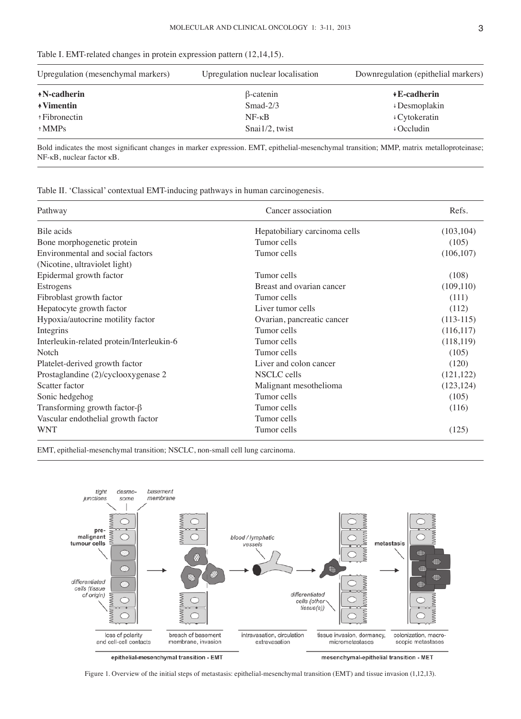|  |  | Table I. EMT-related changes in protein expression pattern (12.14.15). |  |  |  |  |
|--|--|------------------------------------------------------------------------|--|--|--|--|
|--|--|------------------------------------------------------------------------|--|--|--|--|

| Upregulation (mesenchymal markers) | Upregulation nuclear localisation | Downregulation (epithelial markers) |
|------------------------------------|-----------------------------------|-------------------------------------|
| *N-cadherin                        | $\beta$ -catenin                  | $\sqrt{E}$ -cadherin                |
| <b>↑Vimentin</b>                   | $Smad-2/3$                        | $\downarrow$ Desmoplakin            |
| ↑Fibronectin                       | $NF - \kappa B$                   | $\sqrt{C}$ ytokeratin               |
| $\uparrow$ MMPs                    | $Snai1/2$ , twist                 | $\downarrow$ Occludin               |

Bold indicates the most significant changes in marker expression. EMT, epithelial-mesenchymal transition; MMP, matrix metalloproteinase; NF-κB, nuclear factor κB.

Table II. 'Classical' contextual EMT-inducing pathways in human carcinogenesis.

| Pathway                                   | Cancer association            | Refs.       |
|-------------------------------------------|-------------------------------|-------------|
| Bile acids                                | Hepatobiliary carcinoma cells | (103, 104)  |
| Bone morphogenetic protein                | Tumor cells                   | (105)       |
| Environmental and social factors          | Tumor cells                   | (106, 107)  |
| (Nicotine, ultraviolet light)             |                               |             |
| Epidermal growth factor                   | Tumor cells                   | (108)       |
| Estrogens                                 | Breast and ovarian cancer     | (109, 110)  |
| Fibroblast growth factor                  | Tumor cells                   | (111)       |
| Hepatocyte growth factor                  | Liver tumor cells             | (112)       |
| Hypoxia/autocrine motility factor         | Ovarian, pancreatic cancer    | $(113-115)$ |
| Integrins                                 | Tumor cells                   | (116,117)   |
| Interleukin-related protein/Interleukin-6 | Tumor cells                   | (118,119)   |
| Notch                                     | Tumor cells                   | (105)       |
| Platelet-derived growth factor            | Liver and colon cancer        | (120)       |
| Prostaglandine (2)/cyclooxygenase 2       | NSCLC cells                   | (121, 122)  |
| Scatter factor                            | Malignant mesothelioma        | (123, 124)  |
| Sonic hedgehog                            | Tumor cells                   | (105)       |
| Transforming growth factor- $\beta$       | Tumor cells                   | (116)       |
| Vascular endothelial growth factor        | Tumor cells                   |             |
| <b>WNT</b>                                | Tumor cells                   | (125)       |

EMT, epithelial-mesenchymal transition; NSCLC, non-small cell lung carcinoma.



epithelial-mesenchymal transition - EMT

mesenchymal-epithelial transition - MET

Figure 1. Overview of the initial steps of metastasis: epithelial-mesenchymal transition (EMT) and tissue invasion (1,12,13).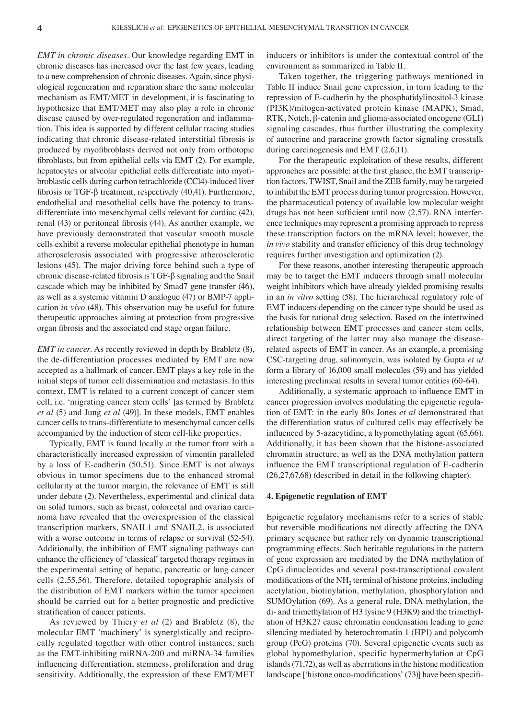*EMT in chronic diseases.* Our knowledge regarding EMT in chronic diseases has increased over the last few years, leading to a new comprehension of chronic diseases. Again, since physiological regeneration and reparation share the same molecular mechanism as EMT/MET in development, it is fascinating to hypothesize that EMT/MET may also play a role in chronic disease caused by over-regulated regeneration and inflammation. This idea is supported by different cellular tracing studies indicating that chronic disease-related interstitial fibrosis is produced by myofibroblasts derived not only from orthotopic fibroblasts, but from epithelial cells via EMT (2). For example, hepatocytes or alveolar epithelial cells differentiate into myofibroblastic cells during carbon tetrachloride (CCl4)-induced liver fibrosis or TGF-β treatment, respectively (40,41). Furthermore, endothelial and mesothelial cells have the potency to transdifferentiate into mesenchymal cells relevant for cardiac (42), renal (43) or peritoneal fibrosis (44). As another example, we have previously demonstrated that vascular smooth muscle cells exhibit a reverse molecular epithelial phenotype in human atherosclerosis associated with progressive atherosclerotic lesions (45). The major driving force behind such a type of chronic disease-related fibrosis is TGF-β signaling and the Snail cascade which may be inhibited by Smad7 gene transfer (46), as well as a systemic vitamin D analogue (47) or BMP-7 application *in vivo* (48). This observation may be useful for future therapeutic approaches aiming at protection from progressive organ fibrosis and the associated end stage organ failure.

*EMT in cancer.* As recently reviewed in depth by Brabletz  $(8)$ , the de-differentiation processes mediated by EMT are now accepted as a hallmark of cancer. EMT plays a key role in the initial steps of tumor cell dissemination and metastasis. In this context, EMT is related to a current concept of cancer stem cell, i.e. 'migrating cancer stem cells' [as termed by Brabletz *et al* (5) and Jung *et al* (49)]. In these models, EMT enables cancer cells to trans-differentiate to mesenchymal cancer cells accompanied by the induction of stem cell-like properties.

Typically, EMT is found locally at the tumor front with a characteristically increased expression of vimentin paralleled by a loss of E-cadherin (50,51). Since EMT is not always obvious in tumor specimens due to the enhanced stromal cellularity at the tumor margin, the relevance of EMT is still under debate (2). Nevertheless, experimental and clinical data on solid tumors, such as breast, colorectal and ovarian carcinoma have revealed that the overexpression of the classical transcription markers, SNAIL1 and SNAIL2, is associated with a worse outcome in terms of relapse or survival  $(52-54)$ . Additionally, the inhibition of EMT signaling pathways can enhance the efficiency of 'classical' targeted therapy regimes in the experimental setting of hepatic, pancreatic or lung cancer cells (2,55,56). Therefore, detailed topographic analysis of the distribution of EMT markers within the tumor specimen should be carried out for a better prognostic and predictive stratification of cancer patients.

As reviewed by Thiery *et al* (2) and Brabletz (8), the molecular EMT 'machinery' is synergistically and reciprocally regulated together with other control instances, such as the EMT-inhibiting miRNA-200 and miRNA-34 families influencing differentiation, stemness, proliferation and drug sensitivity. Additionally, the expression of these EMT/MET inducers or inhibitors is under the contextual control of the environment as summarized in Table II.

Taken together, the triggering pathways mentioned in Table II induce Snail gene expression, in turn leading to the repression of E-cadherin by the phosphatidylinositol-3 kinase (PI3K)/mitogen-activated protein kinase (MAPK), Smad, RTK, Notch, β-catenin and glioma-associated oncogene (GLI) signaling cascades, thus further illustrating the complexity of autocrine and paracrine growth factor signaling crosstalk during carcinogenesis and EMT (2,6,11).

For the therapeutic exploitation of these results, different approaches are possible: at the first glance, the EMT transcription factors, TWIST, Snail and the ZEB family, may be targeted to inhibit the EMT process during tumor progression. However, the pharmaceutical potency of available low molecular weight drugs has not been sufficient until now (2,57). RNA interference techniques may represent a promising approach to repress these transcription factors on the mRNA level; however, the *in vivo* stability and transfer efficiency of this drug technology requires further investigation and optimization (2).

For these reasons, another interesting therapeutic approach may be to target the EMT inducers through small molecular weight inhibitors which have already yielded promising results in an *in vitro* setting (58). The hierarchical regulatory role of EMT inducers depending on the cancer type should be used as the basis for rational drug selection. Based on the intertwined relationship between EMT processes and cancer stem cells, direct targeting of the latter may also manage the diseaserelated aspects of EMT in cancer. As an example, a promising CSC-targeting drug, salinomycin, was isolated by Gupta *et al* form a library of 16,000 small molecules (59) and has yielded interesting preclinical results in several tumor entities (60-64).

Additionally, a systematic approach to influence EMT in cancer progression involves modulating the epigenetic regulation of EMT: in the early 80s Jones *et al* demonstrated that the differentiation status of cultured cells may effectively be influenced by 5-azacytidine, a hypomethylating agent (65,66). Additionally, it has been shown that the histone-associated chromatin structure, as well as the DNA methylation pattern influence the EMT transcriptional regulation of E-cadherin (26,27,67,68) (described in detail in the following chapter).

## **4. Epigenetic regulation of EMT**

Epigenetic regulatory mechanisms refer to a series of stable but reversible modifications not directly affecting the DNA primary sequence but rather rely on dynamic transcriptional programming effects. Such heritable regulations in the pattern of gene expression are mediated by the DNA methylation of CpG dinucleotides and several post-transcriptional covalent modifications of the  $NH<sub>2</sub>$  terminal of histone proteins, including acetylation, biotinylation, methylation, phosphorylation and SUMOylation (69). As a general rule, DNA methylation, the di- and trimethylation of H3 lysine 9 (H3K9) and the trimethylation of H3K27 cause chromatin condensation leading to gene silencing mediated by heterochromatin 1 (HP1) and polycomb group (PcG) proteins (70). Several epigenetic events such as global hypomethylation, specific hypermethylation at CpG islands (71,72), as well as aberrations in the histone modification landscape ['histone onco-modifications' (73)] have been specifi-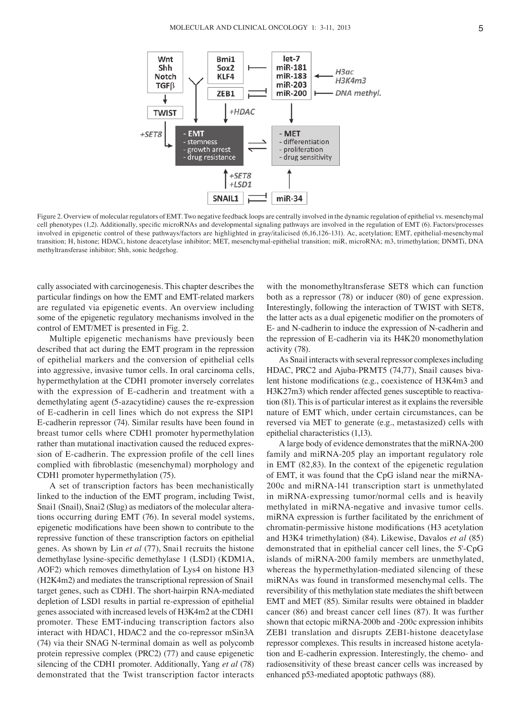

Figure 2. Overview of molecular regulators of EMT. Two negative feedback loops are centrally involved in the dynamic regulation of epithelial vs. mesenchymal cell phenotypes (1,2). Additionally, specific microRNAs and developmental signaling pathways are involved in the regulation of EMT (6). Factors/processes involved in epigenetic control of these pathways/factors are highlighted in gray/italicised (6,16,126-131). Ac, acetylation; EMT, epithelial-mesenchymal transition; H, histone; HDACi, histone deacetylase inhibitor; MET, mesenchymal-epithelial transition; miR, microRNA; m3, trimethylation; DNMTi, DNA methyltransferase inhibitor; Shh, sonic hedgehog.

cally associated with carcinogenesis. This chapter describes the particular findings on how the EMT and EMT-related markers are regulated via epigenetic events. An overview including some of the epigenetic regulatory mechanisms involved in the control of EMT/MET is presented in Fig. 2.

Multiple epigenetic mechanisms have previously been described that act during the EMT program in the repression of epithelial markers and the conversion of epithelial cells into aggressive, invasive tumor cells. In oral carcinoma cells, hypermethylation at the CDH1 promoter inversely correlates with the expression of E-cadherin and treatment with a demethylating agent (5-azacytidine) causes the re-expression of E-cadherin in cell lines which do not express the SIP1 E-cadherin repressor (74). Similar results have been found in breast tumor cells where CDH1 promoter hypermethylation rather than mutational inactivation caused the reduced expression of E-cadherin. The expression profile of the cell lines complied with fibroblastic (mesenchymal) morphology and CDH1 promoter hypermethylation (75).

A set of transcription factors has been mechanistically linked to the induction of the EMT program, including Twist, Snai1 (Snail), Snai2 (Slug) as mediators of the molecular alterations occurring during EMT (76). In several model systems, epigenetic modifications have been shown to contribute to the repressive function of these transcription factors on epithelial genes. As shown by Lin *et al* (77), Snai1 recruits the histone demethylase lysine-specific demethylase 1 (LSD1) (KDM1A, AOF2) which removes dimethylation of Lys4 on histone H3 (H2K4m2) and mediates the transcriptional repression of Snai1 target genes, such as CDH1. The short-hairpin RNA-mediated depletion of LSD1 results in partial re-expression of epithelial genes associated with increased levels of H3K4m2 at the CDH1 promoter. These EMT-inducing transcription factors also interact with HDAC1, HDAC2 and the co-repressor mSin3A (74) via their SNAG N-terminal domain as well as polycomb protein repressive complex (PRC2) (77) and cause epigenetic silencing of the CDH1 promoter. Additionally, Yang *et al* (78) demonstrated that the Twist transcription factor interacts

with the monomethyltransferase SET8 which can function both as a repressor (78) or inducer (80) of gene expression. Interestingly, following the interaction of TWIST with SET8, the latter acts as a dual epigenetic modifier on the promoters of E- and N-cadherin to induce the expression of N-cadherin and the repression of E-cadherin via its H4K20 monomethylation activity (78).

As Snail interacts with several repressor complexes including HDAC, PRC2 and Ajuba-PRMT5 (74,77), Snail causes bivalent histone modifications (e.g., coexistence of H3K4m3 and H3K27m3) which render affected genes susceptible to reactivation (81). This is of particular interest as it explains the reversible nature of EMT which, under certain circumstances, can be reversed via MET to generate (e.g., metastasized) cells with epithelial characteristics (1,13).

A large body of evidence demonstrates that the miRNA-200 family and miRNA-205 play an important regulatory role in EMT (82,83). In the context of the epigenetic regulation of EMT, it was found that the CpG island near the miRNA-200c and miRNA-141 transcription start is unmethylated in miRNA-expressing tumor/normal cells and is heavily methylated in miRNA-negative and invasive tumor cells. miRNA expression is further facilitated by the enrichment of chromatin-permissive histone modifications (H3 acetylation and H3K4 trimethylation) (84). Likewise, Davalos *et al* (85) demonstrated that in epithelial cancer cell lines, the 5'-CpG islands of miRNA-200 family members are unmethylated, whereas the hypermethylation-mediated silencing of these miRNAs was found in transformed mesenchymal cells. The reversibility of this methylation state mediates the shift between EMT and MET (85). Similar results were obtained in bladder cancer (86) and breast cancer cell lines (87). It was further shown that ectopic miRNA-200b and -200c expression inhibits ZEB1 translation and disrupts ZEB1-histone deacetylase repressor complexes. This results in increased histone acetylation and E-cadherin expression. Interestingly, the chemo- and radiosensitivity of these breast cancer cells was increased by enhanced p53-mediated apoptotic pathways (88).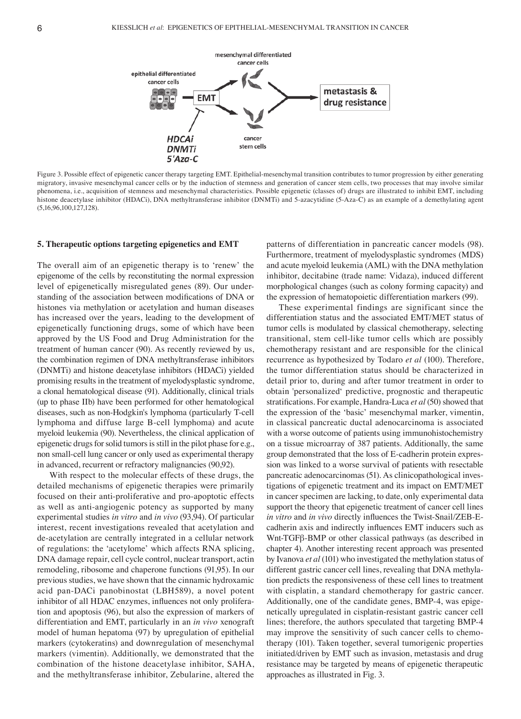

Figure 3. Possible effect of epigenetic cancer therapy targeting EMT. Epithelial-mesenchymal transition contributes to tumor progression by either generating migratory, invasive mesenchymal cancer cells or by the induction of stemness and generation of cancer stem cells, two processes that may involve similar phenomena, i.e., acquisition of stemness and mesenchymal characteristics. Possible epigenetic (classes of) drugs are illustrated to inhibit EMT, including histone deacetylase inhibitor (HDACi), DNA methyltransferase inhibitor (DNMTi) and 5-azacytidine (5-Aza-C) as an example of a demethylating agent (5,16,96,100,127,128).

## **5. Therapeutic options targeting epigenetics and EMT**

The overall aim of an epigenetic therapy is to 'renew' the epigenome of the cells by reconstituting the normal expression level of epigenetically misregulated genes (89). Our understanding of the association between modifications of DNA or histones via methylation or acetylation and human diseases has increased over the years, leading to the development of epigenetically functioning drugs, some of which have been approved by the US Food and Drug Administration for the treatment of human cancer (90). As recently reviewed by us, the combination regimen of DNA methyltransferase inhibitors (DNMTi) and histone deacetylase inhibitors (HDACi) yielded promising results in the treatment of myelodysplastic syndrome, a clonal hematological disease (91). Additionally, clinical trials (up to phase IIb) have been performed for other hematological diseases, such as non-Hodgkin's lymphoma (particularly T-cell lymphoma and diffuse large B-cell lymphoma) and acute myeloid leukemia (90). Nevertheless, the clinical application of epigenetic drugs for solid tumors is still in the pilot phase for e.g., non small-cell lung cancer or only used as experimental therapy in advanced, recurrent or refractory malignancies (90,92).

With respect to the molecular effects of these drugs, the detailed mechanisms of epigenetic therapies were primarily focused on their anti-proliferative and pro-apoptotic effects as well as anti-angiogenic potency as supported by many experimental studies *in vitro* and *in vivo* (93,94). Of particular interest, recent investigations revealed that acetylation and de-acetylation are centrally integrated in a cellular network of regulations: the 'acetylome' which affects RNA splicing, DNA damage repair, cell cycle control, nuclear transport, actin remodeling, ribosome and chaperone functions (91,95). In our previous studies, we have shown that the cinnamic hydroxamic acid pan-DACi panobinostat (LBH589), a novel potent inhibitor of all HDAC enzymes, influences not only proliferation and apoptosis (96), but also the expression of markers of differentiation and EMT, particularly in an *in vivo* xenograft model of human hepatoma (97) by upregulation of epithelial markers (cytokeratins) and downregulation of mesenchymal markers (vimentin). Additionally, we demonstrated that the combination of the histone deacetylase inhibitor, SAHA, and the methyltransferase inhibitor, Zebularine, altered the

patterns of differentiation in pancreatic cancer models (98). Furthermore, treatment of myelodysplastic syndromes (MDS) and acute myeloid leukemia (AML) with the DNA methylation inhibitor, decitabine (trade name: Vidaza), induced different morphological changes (such as colony forming capacity) and the expression of hematopoietic differentiation markers (99).

These experimental findings are significant since the differentiation status and the associated EMT/MET status of tumor cells is modulated by classical chemotherapy, selecting transitional, stem cell-like tumor cells which are possibly chemotherapy resistant and are responsible for the clinical recurrence as hypothesized by Todaro *et al* (100). Therefore, the tumor differentiation status should be characterized in detail prior to, during and after tumor treatment in order to obtain 'personalized' predictive, prognostic and therapeutic stratifications. For example, Handra-Luca *et al* (50) showed that the expression of the 'basic' mesenchymal marker, vimentin, in classical pancreatic ductal adenocarcinoma is associated with a worse outcome of patients using immunohistochemistry on a tissue microarray of 387 patients. Additionally, the same group demonstrated that the loss of E-cadherin protein expression was linked to a worse survival of patients with resectable pancreatic adenocarcinomas (51). As clinicopathological investigations of epigenetic treatment and its impact on EMT/MET in cancer specimen are lacking, to date, only experimental data support the theory that epigenetic treatment of cancer cell lines *in vitro* and *in vivo* directly influences the Twist-Snail/ZEB-Ecadherin axis and indirectly influences EMT inducers such as Wnt-TGFβ-BMP or other classical pathways (as described in chapter 4). Another interesting recent approach was presented by Ivanova *et al* (101) who investigated the methylation status of different gastric cancer cell lines, revealing that DNA methylation predicts the responsiveness of these cell lines to treatment with cisplatin, a standard chemotherapy for gastric cancer. Additionally, one of the candidate genes, BMP-4, was epigenetically upregulated in cisplatin-resistant gastric cancer cell lines; therefore, the authors speculated that targeting BMP-4 may improve the sensitivity of such cancer cells to chemotherapy (101). Taken together, several tumorigenic properties initiated/driven by EMT such as invasion, metastasis and drug resistance may be targeted by means of epigenetic therapeutic approaches as illustrated in Fig. 3.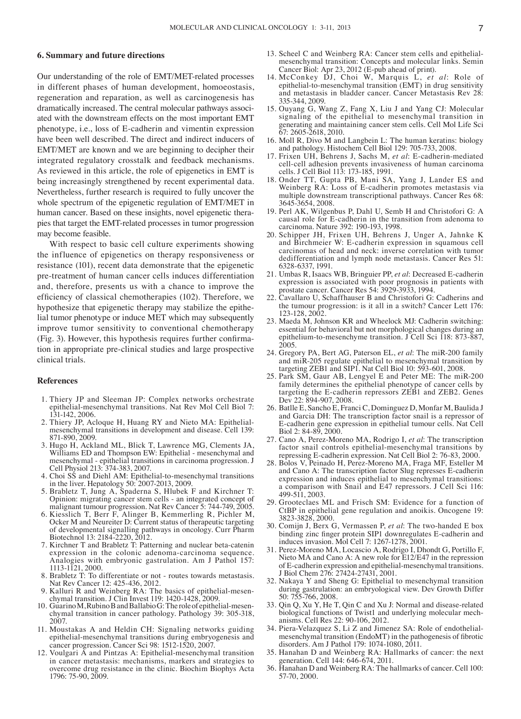### **6. Summary and future directions**

Our understanding of the role of EMT/MET-related processes in different phases of human development, homoeostasis, regeneration and reparation, as well as carcinogenesis has dramatically increased. The central molecular pathways associated with the downstream effects on the most important EMT phenotype, i.e., loss of E-cadherin and vimentin expression have been well described. The direct and indirect inducers of EMT/MET are known and we are beginning to decipher their integrated regulatory crosstalk and feedback mechanisms. As reviewed in this article, the role of epigenetics in EMT is being increasingly strengthened by recent experimental data. Nevertheless, further research is required to fully uncover the whole spectrum of the epigenetic regulation of EMT/MET in human cancer. Based on these insights, novel epigenetic therapies that target the EMT-related processes in tumor progression may become feasible.

With respect to basic cell culture experiments showing the influence of epigenetics on therapy responsiveness or resistance (101), recent data demonstrate that the epigenetic pre-treatment of human cancer cells induces differentiation and, therefore, presents us with a chance to improve the efficiency of classical chemotherapies (102). Therefore, we hypothesize that epigenetic therapy may stabilize the epithelial tumor phenotype or induce MET which may subsequently improve tumor sensitivity to conventional chemotherapy (Fig. 3). However, this hypothesis requires further confirmation in appropriate pre-clinical studies and large prospective clinical trials.

## **References**

- 1. Thiery JP and Sleeman JP: Complex networks orchestrate epithelial-mesenchymal transitions. Nat Rev Mol Cell Biol 7: 131-142, 2006.
- 2. Thiery JP, Acloque H, Huang RY and Nieto MA: Epithelialmesenchymal transitions in development and disease. Cell 139: 871-890, 2009.
- 3. Hugo H, Ackland ML, Blick T, Lawrence MG, Clements JA, Williams ED and Thompson EW: Epithelial - mesenchymal and mesenchymal - epithelial transitions in carcinoma progression. J Cell Physiol 213: 374-383, 2007.
- 4. Choi SS and Diehl AM: Epithelial-to-mesenchymal transitions in the liver. Hepatology 50: 2007-2013, 2009.
- 5. Brabletz T, Jung A, Spaderna S, Hlubek F and Kirchner T: Opinion: migrating cancer stem cells - an integrated concept of malignant tumour progression. Nat Rev Cancer 5: 744-749, 2005.
- 6. Kiesslich T, Berr F, Alinger B, Kemmerling R, Pichler M, Ocker M and Neureiter D: Current status of therapeutic targeting of developmental signalling pathways in oncology. Curr Pharm Biotechnol 13: 2184-2220, 2012.
- 7. Kirchner T and Brabletz T: Patterning and nuclear beta-catenin expression in the colonic adenoma-carcinoma sequence. Analogies with embryonic gastrulation. Am J Pathol 157: 1113-1121, 2000.
- 8. Brabletz T: To differentiate or not routes towards metastasis. Nat Rev Cancer 12: 425-436, 2012.
- 9. Kalluri R and Weinberg RA: The basics of epithelial-mesen-<br>chymal transition. J Clin Invest 119: 1420-1428, 2009.<br>10. Guarino M, Rubino B and Ballabio G: The role of epithelial-mesen-
- chymal transition in cancer pathology. Pathology 39: 305-318, 2007.
- 11. Moustakas A and Heldin CH: Signaling networks guiding epithelial-mesenchymal transitions during embryogenesis and cancer progression. Cancer Sci 98: 1512-1520, 2007.
- 12. Voulgari A and Pintzas A: Epithelial-mesenchymal transition in cancer metastasis: mechanisms, markers and strategies to overcome drug resistance in the clinic. Biochim Biophys Acta 1796: 75-90, 2009.
- 13. Scheel C and Weinberg RA: Cancer stem cells and epithelialmesenchymal transition: Concepts and molecular links. Semin Cancer Biol: Apr 23, 2012 (E-pub ahead of print).
- 14. McConkey DJ, Choi W, Marquis L, *et al*: Role of epithelial-to-mesenchymal transition (EMT) in drug sensitivity and metastasis in bladder cancer. Cancer Metastasis Rev 28: 335-344, 2009.
- 15. Ouyang G, Wang Z, Fang X, Liu J and Yang CJ: Molecular signaling of the epithelial to mesenchymal transition in generating and maintaining cancer stem cells. Cell Mol Life Sci 67: 2605-2618, 2010.
- 16. Moll R, Divo M and Langbein L: The human keratins: biology and pathology. Histochem Cell Biol 129: 705-733, 2008.
- 17. Frixen UH, Behrens J, Sachs M, *et al*: E-cadherin-mediated cell-cell adhesion prevents invasiveness of human carcinoma cells. J Cell Biol 113: 173-185, 1991.
- 18. Onder TT, Gupta PB, Mani SA, Yang J, Lander ES and Weinberg RA: Loss of E-cadherin promotes metastasis via multiple downstream transcriptional pathways. Cancer Res 68: 3645-3654, 2008.
- 19. Perl AK, Wilgenbus P, Dahl U, Semb H and Christofori G: A causal role for E-cadherin in the transition from adenoma to carcinoma. Nature 392: 190-193, 1998.
- 20. Schipper JH, Frixen UH, Behrens J, Unger A, Jahnke K and Birchmeier W: E-cadherin expression in squamous cell carcinomas of head and neck: inverse correlation with tumor dedifferentiation and lymph node metastasis. Cancer Res 51: 6328-6337, 1991.
- 21. Umbas R, Isaacs WB, Bringuier PP, *et al*: Decreased E-cadherin expression is associated with poor prognosis in patients with prostate cancer. Cancer Res 54: 3929-3933, 1994.
- 22. Cavallaro U, Schaffhauser B and Christofori G: Cadherins and the tumour progression: is it all in a switch? Cancer Lett 176: 123-128, 2002.
- 23. Maeda M, Johnson KR and Wheelock MJ: Cadherin switching: essential for behavioral but not morphological changes during an epithelium-to-mesenchyme transition. J Cell Sci 118: 873-887, 2005.
- 24. Gregory PA, Bert AG, Paterson EL, *et al*: The miR-200 family and miR-205 regulate epithelial to mesenchymal transition by targeting ZEB1 and SIP1. Nat Cell Biol 10: 593-601, 2008.
- 25. Park SM, Gaur AB, Lengyel E and Peter ME: The miR-200 family determines the epithelial phenotype of cancer cells by targeting the E-cadherin repressors ZEB1 and ZEB2. Genes Dev 22: 894-907, 2008.
- 26. Batlle E, Sancho E, Franci C, Dominguez D, Monfar M, Baulida J and Garcia DH: The transcription factor snail is a repressor of E-cadherin gene expression in epithelial tumour cells. Nat Cell Biol 2: 84-89, 2000.
- 27. Cano A, Perez-Moreno MA, Rodrigo I, *et al*: The transcription factor snail controls epithelial-mesenchymal transitions by repressing E-cadherin expression. Nat Cell Biol 2: 76-83, 2000.
- 28. Bolos V, Peinado H, Perez-Moreno MA, Fraga MF, Esteller M and Cano A: The transcription factor Slug represses E-cadherin expression and induces epithelial to mesenchymal transitions: a comparison with Snail and E47 repressors. J Cell Sci 116: 499-511, 2003.
- 29. Grooteclaes ML and Frisch SM: Evidence for a function of CtBP in epithelial gene regulation and anoikis. Oncogene 19: 3823-3828, 2000.
- 30. Comijn J, Berx G, Vermassen P, *et al*: The two-handed E box binding zinc finger protein SIP1 downregulates E-cadherin and induces invasion. Mol Cell 7: 1267-1278, 2001.
- 31. Perez-Moreno MA, Locascio A, Rodrigo I, Dhondt G, Portillo F, Nieto MA and Cano A: A new role for E12/E47 in the repression of E-cadherin expression and epithelial-mesenchymal transitions. J Biol Chem 276: 27424-27431, 2001.
- 32. Nakaya Y and Sheng G: Epithelial to mesenchymal transition during gastrulation: an embryological view. Dev Growth Differ 50: 755-766, 2008.
- 33. Qin Q, Xu Y, He T, Qin C and Xu J: Normal and disease-related biological functions of Twist1 and underlying molecular mech- anisms. Cell Res 22: 90-106, 2012.
- 34. Piera-Velazquez S, Li Z and Jimenez SA: Role of endothelialmesenchymal transition (EndoMT) in the pathogenesis of fibrotic disorders. Am J Pathol 179: 1074-1080, 2011.
- 35. Hanahan D and Weinberg RA: Hallmarks of cancer: the next generation. Cell 144: 646-674, 2011.
- 36. Hanahan D and Weinberg RA: The hallmarks of cancer. Cell 100: 57-70, 2000.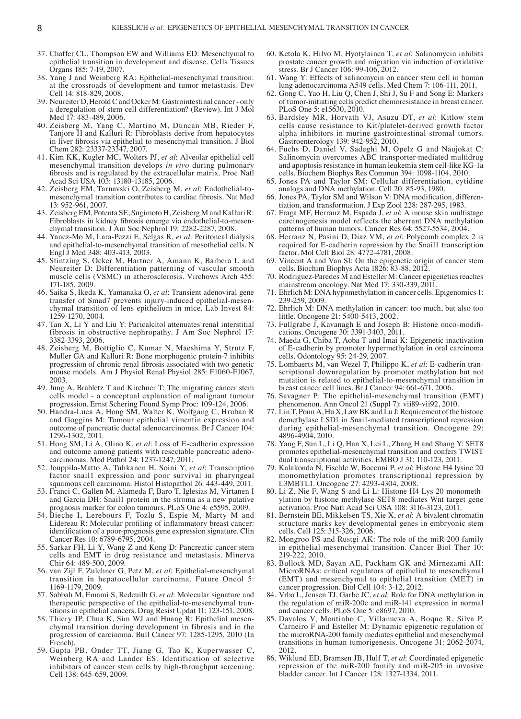- 37. Chaffer CL, Thompson EW and Williams ED: Mesenchymal to epithelial transition in development and disease. Cells Tissues Organs 185: 7-19, 2007.
- 38. Yang J and Weinberg RA: Epithelial-mesenchymal transition: at the crossroads of development and tumor metastasis. Dev Cell 14: 818-829, 2008.
- 39. Neureiter D, Herold C and Ocker M: Gastrointestinal cancer- only a deregulation of stem cell differentiation? (Review). Int J Mol Med 17: 483-489, 2006.
- 40. Zeisberg M, Yang C, Martino M, Duncan MB, Rieder F, Tanjore H and Kalluri R: Fibroblasts derive from hepatocytes in liver fibrosis via epithelial to mesenchymal transition. J Biol Chem 282: 23337-23347, 2007.
- 41. Kim KK, Kugler MC, Wolters PJ, *et al*: Alveolar epithelial cell mesenchymal transition develops *in vivo* during pulmonary fibrosis and is regulated by the extracellular matrix. Proc Natl Acad Sci USA 103: 13180-13185, 2006.
- 42. Zeisberg EM, Tarnavski O, Zeisberg M, *et al*: Endothelial-tomesenchymal transition contributes to cardiac fibrosis. Nat Med 13: 952-961, 2007.
- 43. Zeisberg EM, Potenta SE, Sugimoto H, Zeisberg M and Kalluri R: Fibroblasts in kidney fibrosis emerge via endothelial-to-mesenchymal transition. J Am Soc Nephrol 19: 2282-2287, 2008.
- 44. Yanez-Mo M, Lara-Pezzi E, Selgas R, *et al*: Peritoneal dialysis and epithelial-to-mesenchymal transition of mesothelial cells. N Engl J Med 348: 403-413, 2003.
- 45. Stintzing S, Ocker M, Hartner A, Amann K, Barbera L and Neureiter D: Differentiation patterning of vascular smooth muscle cells (VSMC) in atherosclerosis. Virchows Arch 455: 171-185, 2009.
- 46. Saika S, Ikeda K, Yamanaka O, *et al*: Transient adenoviral gene transfer of Smad7 prevents injury-induced epithelial-mesenchymal transition of lens epithelium in mice. Lab Invest 84: 1259-1270, 2004.
- 47. Tan X, Li Y and Liu Y: Paricalcitol attenuates renal interstitial fibrosis in obstructive nephropathy. J Am Soc Nephrol 17: 3382-3393, 2006.
- 48. Zeisberg M, Bottiglio C, Kumar N, Maeshima Y, Strutz F, Muller GA and Kalluri R: Bone morphogenic protein-7 inhibits progression of chronic renal fibrosis associated with two genetic mouse models. Am J Physiol Renal Physiol 285: F1060-F1067, 2003.
- 49. Jung A, Brabletz T and Kirchner T: The migrating cancer stem cells model - a conceptual explanation of malignant tumour progression. Ernst Schering Found Symp Proc: 109-124, 2006.
- 50. Handra-Luca A, Hong SM, Walter K, Wolfgang C, Hruban R and Goggins M: Tumour epithelial vimentin expression and outcome of pancreatic ductal adenocarcinomas. Br J Cancer 104: 1296-1302, 2011.
- 51. Hong SM, Li A, Olino K, *et al*: Loss of E-cadherin expression and outcome among patients with resectable pancreatic adenocarcinomas. Mod Pathol 24: 1237-1247, 2011.
- 52. Jouppila-Matto A, Tuhkanen H, Soini Y, *et al*: Transcription factor snail1 expression and poor survival in pharyngeal squamous cell carcinoma. Histol Histopathol 26: 443-449, 2011.
- 53. Franci C, Gallen M, Alameda F, Baro T, Iglesias M, Virtanen I and Garcia DH: Snail1 protein in the stroma as a new putative prognosis marker for colon tumours. PLoS One 4: e5595, 2009.
- 54. Bieche I, Lerebours F, Tozlu S, Espie M, Marty M and Lidereau R: Molecular profiling of inflammatory breast cancer: identification of a poor-prognosis gene expression signature. Clin Cancer Res 10: 6789-6795, 2004.
- 55. Sarkar FH, Li Y, Wang Z and Kong D: Pancreatic cancer stem cells and EMT in drug resistance and metastasis. Minerva Chir 64: 489-500, 2009.
- 56. van Zijl F, Zulehner G, Petz M, *et al*: Epithelial-mesenchymal transition in hepatocellular carcinoma. Future Oncol 5: 1169-1179, 2009.
- 57. Sabbah M, Emami S, Redeuilh G, *et al*: Molecular signature and therapeutic perspective of the epithelial-to-mesenchymal transitions in epithelial cancers. Drug Resist Updat 11: 123-151, 2008.
- 58. Thiery JP, Chua K, Sim WJ and Huang R: Epithelial mesenchymal transition during development in fibrosis and in the progression of carcinoma. Bull Cancer 97: 1285-1295, 2010 (In French).
- 59. Gupta PB, Onder TT, Jiang G, Tao K, Kuperwasser C, Weinberg RA and Lander ES: Identification of selective inhibitors of cancer stem cells by high-throughput screening. Cell 138: 645-659, 2009.
- 60. Ketola K, Hilvo M, Hyotylainen T, *et al*: Salinomycin inhibits prostate cancer growth and migration via induction of oxidative stress. Br J Cancer 106: 99-106, 2012.
- 61. Wang Y: Effects of salinomycin on cancer stem cell in human lung adenocarcinoma A549 cells. Med Chem 7: 106-111, 2011.
- 62. Gong C, Yao H, Liu Q, Chen J, Shi J, Su F and Song E: Markers of tumor-initiating cells predict chemoresistance in breast cancer. PLoS One 5: e15630, 2010.
- 63. Bardsley MR, Horvath VJ, Asuzu DT, *et al*: Kitlow stem cells cause resistance to Kit/platelet-derived growth factor alpha inhibitors in murine gastrointestinal stromal tumors. Gastroenterology 139: 942-952, 2010.
- 64. Fuchs D, Daniel V, Sadeghi M, Opelz G and Naujokat C: Salinomycin overcomes ABC transporter-mediated multidrug and apoptosis resistance in human leukemia stem cell-like KG-1a cells. Biochem Biophys Res Commun 394: 1098-1104, 2010.
- 65. Jones PA and Taylor SM: Cellular differentiation, cytidine analogs and DNA methylation. Cell 20: 85-93, 1980.
- 66. Jones PA, Taylor SM and Wilson V: DNA modification, differentiation, and transformation. J Exp Zool 228: 287-295, 1983.
- 67. Fraga MF, Herranz M, Espada J, *et al*: A mouse skin multistage carcinogenesis model reflects the aberrant DNA methylation patterns of human tumors. Cancer Res 64: 5527-5534, 2004.
- 68. Herranz N, Pasini D, Diaz VM, *et al*: Polycomb complex 2 is required for E-cadherin repression by the Snail1 transcription factor. Mol Cell Biol 28: 4772-4781, 2008.
- 69. Vincent A and Van SI: On the epigenetic origin of cancer stem cells. Biochim Biophys Acta 1826: 83-88, 2012.
- 70. Rodriguez-Paredes M and Esteller M: Cancer epigenetics reaches mainstream oncology. Nat Med 17: 330-339, 2011.
- 71. Ehrlich M: DNA hypomethylation in cancer cells. Epigenomics 1: 239-259, 2009.
- 72. Ehrlich M: DNA methylation in cancer: too much, but also too little. Oncogene 21: 5400-5413, 2002.
- 73. Fullgrabe J, Kavanagh E and Joseph B: Histone onco-modifications. Oncogene 30: 3391-3403, 2011.
- 74. Maeda G, Chiba T, Aoba T and Imai K: Epigenetic inactivation of E-cadherin by promoter hypermethylation in oral carcinoma cells. Odontology 95: 24-29, 2007.
- 75. Lombaerts M, van Wezel T, Philippo K, *et al*: E-cadherin transcriptional downregulation by promoter methylation but not mutation is related to epithelial-to-mesenchymal transition in breast cancer cell lines. Br J Cancer 94: 661-671, 2006.
- 76. Savagner P: The epithelial-mesenchymal transition (EMT) phenomenon. Ann Oncol 21 (Suppl 7): vii89-vii92, 2010.
- 77. Lin T, Ponn A, Hu X, Law BK and Lu J: Requirement of the histone demethylase LSD1 in Snai1-mediated transcriptional repression during epithelial-mesenchymal transition. Oncogene 29: 4896-4904, 2010.
- 78. Yang F, Sun L, Li Q, Han X, Lei L, Zhang H and Shang Y: SET8 promotes epithelial-mesenchymal transition and confers TWIST dual transcriptional activities. EMBO J 31: 110-123, 2011.
- 79. Kalakonda N, Fischle W, Boccuni P, *et al*: Histone H4 lysine 20 monomethylation promotes transcriptional repression by L3MBTL1. Oncogene 27: 4293-4304, 2008.
- 80. Li Z, Nie F, Wang S and Li L: Histone H4 Lys 20 monomethylation by histone methylase SET8 mediates Wnt target gene activation. Proc Natl Acad Sci USA 108: 3116-3123, 2011.
- 81. Bernstein BE, Mikkelsen TS, Xie X, *et al*: A bivalent chromatin structure marks key developmental genes in embryonic stem cells. Cell 125: 315-326, 2006.
- 82. Mongroo PS and Rustgi AK: The role of the miR-200 family in epithelial-mesenchymal transition. Cancer Biol Ther 10: 219-222, 2010.
- 83. Bullock MD, Sayan AE, Packham GK and Mirnezami AH: MicroRNAs: critical regulators of epithelial to mesenchymal (EMT) and mesenchymal to epithelial transition (MET) in cancer progression. Biol Cell 104: 3-12, 2012.
- 84. Vrba L, Jensen TJ, Garbe JC, *et al*: Role for DNA methylation in the regulation of miR-200c and miR-141 expression in normal and cancer cells. PLoS One 5: e8697, 2010.
- 85. Davalos V, Moutinho C, Villanueva A, Boque R, Silva P, Carneiro F and Esteller M: Dynamic epigenetic regulation of the microRNA-200 family mediates epithelial and mesenchymal transitions in human tumorigenesis. Oncogene 31: 2062-2074, 2012.
- 86. Wiklund ED, Bramsen JB, Hulf T, *et al*: Coordinated epigenetic repression of the miR-200 family and miR-205 in invasive bladder cancer. Int J Cancer 128: 1327-1334, 2011.